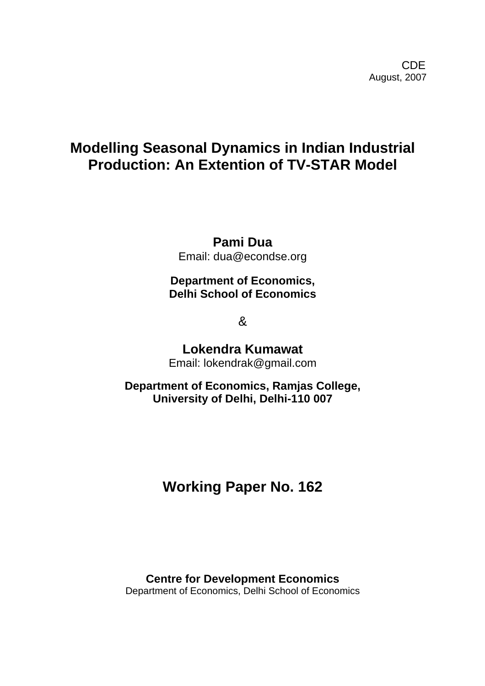## **Modelling Seasonal Dynamics in Indian Industrial Production: An Extention of TV-STAR Model**

**Pami Dua** 

Email: dua@econdse.org

**Department of Economics, Delhi School of Economics** 

&

**Lokendra Kumawat**  Email: lokendrak@gmail.com

**Department of Economics, Ramjas College, University of Delhi, Delhi-110 007** 

# **Working Paper No. 162**

**Centre for Development Economics**  Department of Economics, Delhi School of Economics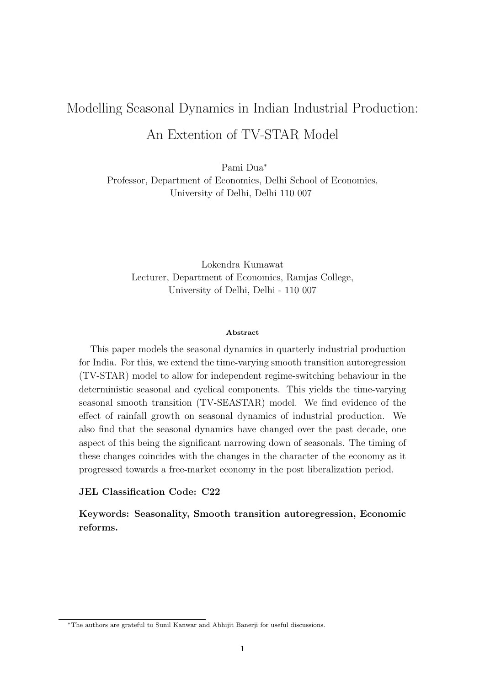# Modelling Seasonal Dynamics in Indian Industrial Production: An Extention of TV-STAR Model

Pami Dua<sup>∗</sup> Professor, Department of Economics, Delhi School of Economics, University of Delhi, Delhi 110 007

Lokendra Kumawat Lecturer, Department of Economics, Ramjas College, University of Delhi, Delhi - 110 007

#### Abstract

This paper models the seasonal dynamics in quarterly industrial production for India. For this, we extend the time-varying smooth transition autoregression (TV-STAR) model to allow for independent regime-switching behaviour in the deterministic seasonal and cyclical components. This yields the time-varying seasonal smooth transition (TV-SEASTAR) model. We find evidence of the effect of rainfall growth on seasonal dynamics of industrial production. We also find that the seasonal dynamics have changed over the past decade, one aspect of this being the significant narrowing down of seasonals. The timing of these changes coincides with the changes in the character of the economy as it progressed towards a free-market economy in the post liberalization period.

#### JEL Classification Code: C22

Keywords: Seasonality, Smooth transition autoregression, Economic reforms.

<sup>∗</sup>The authors are grateful to Sunil Kanwar and Abhijit Banerji for useful discussions.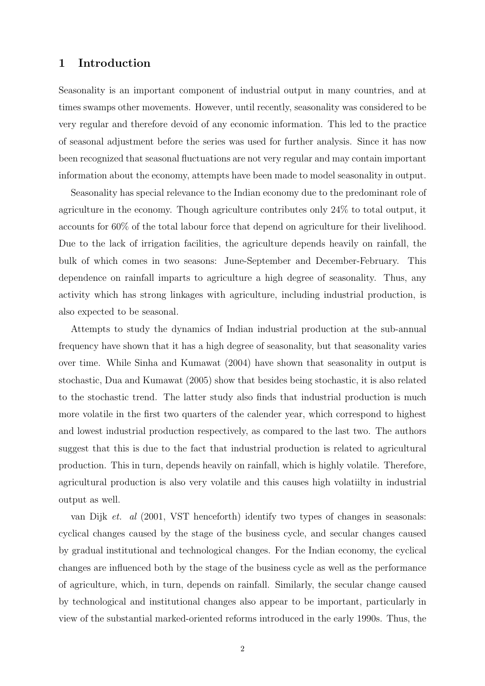## 1 Introduction

Seasonality is an important component of industrial output in many countries, and at times swamps other movements. However, until recently, seasonality was considered to be very regular and therefore devoid of any economic information. This led to the practice of seasonal adjustment before the series was used for further analysis. Since it has now been recognized that seasonal fluctuations are not very regular and may contain important information about the economy, attempts have been made to model seasonality in output.

Seasonality has special relevance to the Indian economy due to the predominant role of agriculture in the economy. Though agriculture contributes only 24% to total output, it accounts for 60% of the total labour force that depend on agriculture for their livelihood. Due to the lack of irrigation facilities, the agriculture depends heavily on rainfall, the bulk of which comes in two seasons: June-September and December-February. This dependence on rainfall imparts to agriculture a high degree of seasonality. Thus, any activity which has strong linkages with agriculture, including industrial production, is also expected to be seasonal.

Attempts to study the dynamics of Indian industrial production at the sub-annual frequency have shown that it has a high degree of seasonality, but that seasonality varies over time. While Sinha and Kumawat (2004) have shown that seasonality in output is stochastic, Dua and Kumawat (2005) show that besides being stochastic, it is also related to the stochastic trend. The latter study also finds that industrial production is much more volatile in the first two quarters of the calender year, which correspond to highest and lowest industrial production respectively, as compared to the last two. The authors suggest that this is due to the fact that industrial production is related to agricultural production. This in turn, depends heavily on rainfall, which is highly volatile. Therefore, agricultural production is also very volatile and this causes high volatiilty in industrial output as well.

van Dijk et. al (2001, VST henceforth) identify two types of changes in seasonals: cyclical changes caused by the stage of the business cycle, and secular changes caused by gradual institutional and technological changes. For the Indian economy, the cyclical changes are influenced both by the stage of the business cycle as well as the performance of agriculture, which, in turn, depends on rainfall. Similarly, the secular change caused by technological and institutional changes also appear to be important, particularly in view of the substantial marked-oriented reforms introduced in the early 1990s. Thus, the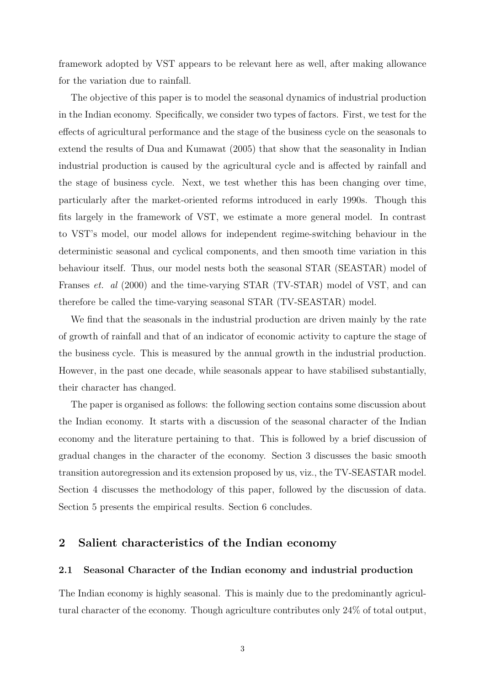framework adopted by VST appears to be relevant here as well, after making allowance for the variation due to rainfall.

The objective of this paper is to model the seasonal dynamics of industrial production in the Indian economy. Specifically, we consider two types of factors. First, we test for the effects of agricultural performance and the stage of the business cycle on the seasonals to extend the results of Dua and Kumawat (2005) that show that the seasonality in Indian industrial production is caused by the agricultural cycle and is affected by rainfall and the stage of business cycle. Next, we test whether this has been changing over time, particularly after the market-oriented reforms introduced in early 1990s. Though this fits largely in the framework of VST, we estimate a more general model. In contrast to VST's model, our model allows for independent regime-switching behaviour in the deterministic seasonal and cyclical components, and then smooth time variation in this behaviour itself. Thus, our model nests both the seasonal STAR (SEASTAR) model of Franses et. al (2000) and the time-varying STAR (TV-STAR) model of VST, and can therefore be called the time-varying seasonal STAR (TV-SEASTAR) model.

We find that the seasonals in the industrial production are driven mainly by the rate of growth of rainfall and that of an indicator of economic activity to capture the stage of the business cycle. This is measured by the annual growth in the industrial production. However, in the past one decade, while seasonals appear to have stabilised substantially, their character has changed.

The paper is organised as follows: the following section contains some discussion about the Indian economy. It starts with a discussion of the seasonal character of the Indian economy and the literature pertaining to that. This is followed by a brief discussion of gradual changes in the character of the economy. Section 3 discusses the basic smooth transition autoregression and its extension proposed by us, viz., the TV-SEASTAR model. Section 4 discusses the methodology of this paper, followed by the discussion of data. Section 5 presents the empirical results. Section 6 concludes.

## 2 Salient characteristics of the Indian economy

#### 2.1 Seasonal Character of the Indian economy and industrial production

The Indian economy is highly seasonal. This is mainly due to the predominantly agricultural character of the economy. Though agriculture contributes only 24% of total output,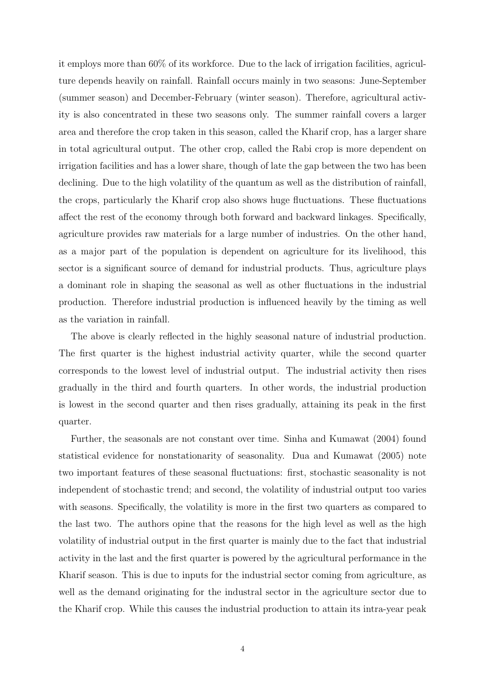it employs more than 60% of its workforce. Due to the lack of irrigation facilities, agriculture depends heavily on rainfall. Rainfall occurs mainly in two seasons: June-September (summer season) and December-February (winter season). Therefore, agricultural activity is also concentrated in these two seasons only. The summer rainfall covers a larger area and therefore the crop taken in this season, called the Kharif crop, has a larger share in total agricultural output. The other crop, called the Rabi crop is more dependent on irrigation facilities and has a lower share, though of late the gap between the two has been declining. Due to the high volatility of the quantum as well as the distribution of rainfall, the crops, particularly the Kharif crop also shows huge fluctuations. These fluctuations affect the rest of the economy through both forward and backward linkages. Specifically, agriculture provides raw materials for a large number of industries. On the other hand, as a major part of the population is dependent on agriculture for its livelihood, this sector is a significant source of demand for industrial products. Thus, agriculture plays a dominant role in shaping the seasonal as well as other fluctuations in the industrial production. Therefore industrial production is influenced heavily by the timing as well as the variation in rainfall.

The above is clearly reflected in the highly seasonal nature of industrial production. The first quarter is the highest industrial activity quarter, while the second quarter corresponds to the lowest level of industrial output. The industrial activity then rises gradually in the third and fourth quarters. In other words, the industrial production is lowest in the second quarter and then rises gradually, attaining its peak in the first quarter.

Further, the seasonals are not constant over time. Sinha and Kumawat (2004) found statistical evidence for nonstationarity of seasonality. Dua and Kumawat (2005) note two important features of these seasonal fluctuations: first, stochastic seasonality is not independent of stochastic trend; and second, the volatility of industrial output too varies with seasons. Specifically, the volatility is more in the first two quarters as compared to the last two. The authors opine that the reasons for the high level as well as the high volatility of industrial output in the first quarter is mainly due to the fact that industrial activity in the last and the first quarter is powered by the agricultural performance in the Kharif season. This is due to inputs for the industrial sector coming from agriculture, as well as the demand originating for the industral sector in the agriculture sector due to the Kharif crop. While this causes the industrial production to attain its intra-year peak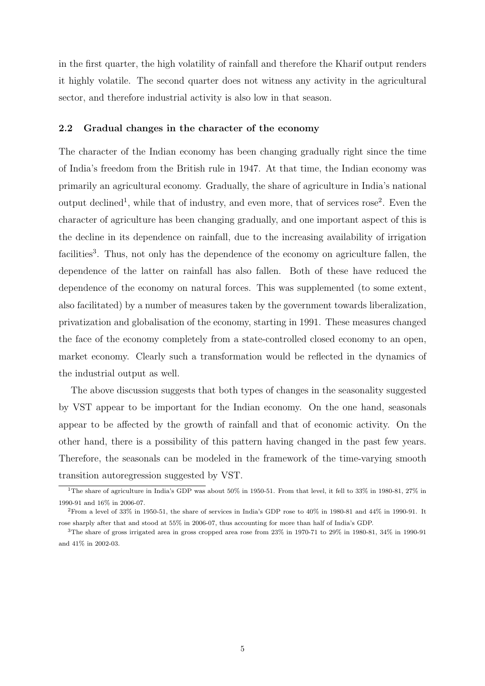in the first quarter, the high volatility of rainfall and therefore the Kharif output renders it highly volatile. The second quarter does not witness any activity in the agricultural sector, and therefore industrial activity is also low in that season.

## 2.2 Gradual changes in the character of the economy

The character of the Indian economy has been changing gradually right since the time of India's freedom from the British rule in 1947. At that time, the Indian economy was primarily an agricultural economy. Gradually, the share of agriculture in India's national output declined<sup>1</sup>, while that of industry, and even more, that of services rose<sup>2</sup>. Even the character of agriculture has been changing gradually, and one important aspect of this is the decline in its dependence on rainfall, due to the increasing availability of irrigation facilities<sup>3</sup>. Thus, not only has the dependence of the economy on agriculture fallen, the dependence of the latter on rainfall has also fallen. Both of these have reduced the dependence of the economy on natural forces. This was supplemented (to some extent, also facilitated) by a number of measures taken by the government towards liberalization, privatization and globalisation of the economy, starting in 1991. These measures changed the face of the economy completely from a state-controlled closed economy to an open, market economy. Clearly such a transformation would be reflected in the dynamics of the industrial output as well.

The above discussion suggests that both types of changes in the seasonality suggested by VST appear to be important for the Indian economy. On the one hand, seasonals appear to be affected by the growth of rainfall and that of economic activity. On the other hand, there is a possibility of this pattern having changed in the past few years. Therefore, the seasonals can be modeled in the framework of the time-varying smooth transition autoregression suggested by VST.

<sup>1</sup>The share of agriculture in India's GDP was about 50% in 1950-51. From that level, it fell to 33% in 1980-81, 27% in 1990-91 and 16% in 2006-07.

<sup>2</sup>From a level of 33% in 1950-51, the share of services in India's GDP rose to 40% in 1980-81 and 44% in 1990-91. It rose sharply after that and stood at 55% in 2006-07, thus accounting for more than half of India's GDP.

<sup>3</sup>The share of gross irrigated area in gross cropped area rose from 23% in 1970-71 to 29% in 1980-81, 34% in 1990-91 and 41% in 2002-03.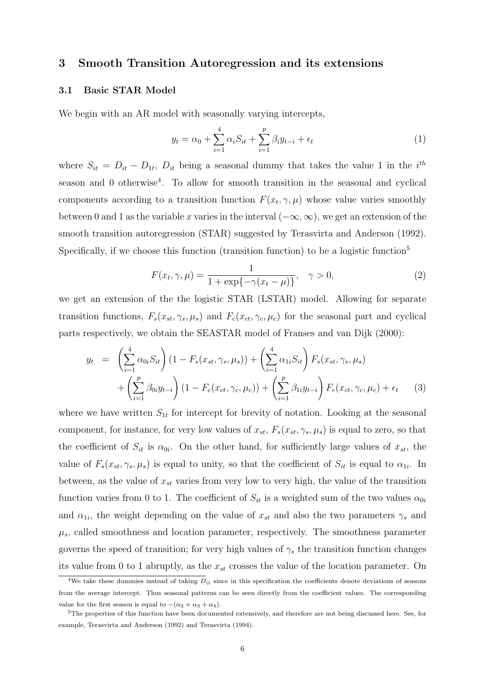## 3 Smooth Transition Autoregression and its extensions

## 3.1 Basic STAR Model

We begin with an AR model with seasonally varying intercepts,

$$
y_t = \alpha_0 + \sum_{i=1}^4 \alpha_i S_{it} + \sum_{i=1}^p \beta_i y_{t-i} + \epsilon_t
$$
 (1)

where  $S_{it} = D_{it} - D_{1t}$ ,  $D_{it}$  being a seasonal dummy that takes the value 1 in the  $i^{th}$ season and 0 otherwise<sup>4</sup>. To allow for smooth transition in the seasonal and cyclical components according to a transition function  $F(x_t, \gamma, \mu)$  whose value varies smoothly between 0 and 1 as the variable x varies in the interval  $(-\infty, \infty)$ , we get an extension of the smooth transition autoregression (STAR) suggested by Terasvirta and Anderson (1992). Specifically, if we choose this function (transition function) to be a logistic function<sup>5</sup>

$$
F(x_t, \gamma, \mu) = \frac{1}{1 + \exp\{-\gamma(x_t - \mu)\}}, \quad \gamma > 0,
$$
 (2)

we get an extension of the the logistic STAR (LSTAR) model. Allowing for separate transition functions,  $F_s(x_{st}, \gamma_s, \mu_s)$  and  $F_c(x_{ct}, \gamma_c, \mu_c)$  for the seasonal part and cyclical parts respectively, we obtain the SEASTAR model of Franses and van Dijk (2000):

$$
y_t = \left(\sum_{i=1}^4 \alpha_{0i} S_{it}\right) (1 - F_s(x_{st}, \gamma_s, \mu_s)) + \left(\sum_{i=1}^4 \alpha_{1i} S_{it}\right) F_s(x_{st}, \gamma_s, \mu_s) + \left(\sum_{i=1}^p \beta_{0i} y_{t-i}\right) (1 - F_c(x_{ct}, \gamma_c, \mu_c)) + \left(\sum_{i=1}^p \beta_{1i} y_{t-i}\right) F_c(x_{ct}, \gamma_c, \mu_c) + \epsilon_t \tag{3}
$$

where we have written  $S_{1t}$  for intercept for brevity of notation. Looking at the seasonal component, for instance, for very low values of  $x_{st}$ ,  $F_s(x_{st}, \gamma_s, \mu_s)$  is equal to zero, so that the coefficient of  $S_{it}$  is  $\alpha_{0i}$ . On the other hand, for sufficiently large values of  $x_{st}$ , the value of  $F_s(x_{st}, \gamma_s, \mu_s)$  is equal to unity, so that the coefficient of  $S_{it}$  is equal to  $\alpha_{1i}$ . In between, as the value of  $x_{st}$  varies from very low to very high, the value of the transition function varies from 0 to 1. The coefficient of  $S_{it}$  is a weighted sum of the two values  $\alpha_{0i}$ and  $\alpha_{1i}$ , the weight depending on the value of  $x_{st}$  and also the two parameters  $\gamma_s$  and  $\mu_s$ , called smoothness and location parameter, respectively. The smoothness parameter governs the speed of transition; for very high values of  $\gamma_s$  the transition function changes its value from 0 to 1 abruptly, as the  $x_{st}$  crosses the value of the location parameter. On

<sup>&</sup>lt;sup>4</sup>We take these dummies instead of taking  $D_{it}$  since in this specification the coefficients denote deviations of seasons from the average intercept. Thus seasonal patterns can be seen directly from the coefficient values. The corresponding value for the first season is equal to  $-(\alpha_2 + \alpha_3 + \alpha_4)$ .

<sup>5</sup>The properties of this function have been documented extensively, and therefore are not being discussed here. See, for example, Terasvirta and Anderson (1992) and Terasvirta (1994).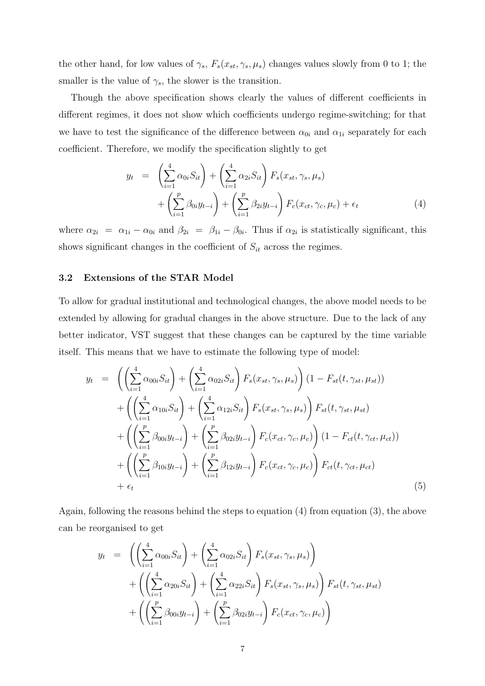the other hand, for low values of  $\gamma_s$ ,  $F_s(x_{st}, \gamma_s, \mu_s)$  changes values slowly from 0 to 1; the smaller is the value of  $\gamma_s$ , the slower is the transition.

Though the above specification shows clearly the values of different coefficients in different regimes, it does not show which coefficients undergo regime-switching; for that we have to test the significance of the difference between  $\alpha_{0i}$  and  $\alpha_{1i}$  separately for each coefficient. Therefore, we modify the specification slightly to get

$$
y_t = \left(\sum_{i=1}^4 \alpha_{0i} S_{it}\right) + \left(\sum_{i=1}^4 \alpha_{2i} S_{it}\right) F_s(x_{st}, \gamma_s, \mu_s) + \left(\sum_{i=1}^p \beta_{0i} y_{t-i}\right) + \left(\sum_{i=1}^p \beta_{2i} y_{t-i}\right) F_c(x_{ct}, \gamma_c, \mu_c) + \epsilon_t
$$
(4)

where  $\alpha_{2i} = \alpha_{1i} - \alpha_{0i}$  and  $\beta_{2i} = \beta_{1i} - \beta_{0i}$ . Thus if  $\alpha_{2i}$  is statistically significant, this shows significant changes in the coefficient of  $S_{it}$  across the regimes.

## 3.2 Extensions of the STAR Model

To allow for gradual institutional and technological changes, the above model needs to be extended by allowing for gradual changes in the above structure. Due to the lack of any better indicator, VST suggest that these changes can be captured by the time variable itself. This means that we have to estimate the following type of model:

$$
y_{t} = \left( \left( \sum_{i=1}^{4} \alpha_{00i} S_{it} \right) + \left( \sum_{i=1}^{4} \alpha_{02i} S_{it} \right) F_{s}(x_{st}, \gamma_{s}, \mu_{s}) \right) (1 - F_{st}(t, \gamma_{st}, \mu_{st})) + \left( \left( \sum_{i=1}^{4} \alpha_{10i} S_{it} \right) + \left( \sum_{i=1}^{4} \alpha_{12i} S_{it} \right) F_{s}(x_{st}, \gamma_{s}, \mu_{s}) \right) F_{st}(t, \gamma_{st}, \mu_{st}) + \left( \left( \sum_{i=1}^{p} \beta_{00i} y_{t-i} \right) + \left( \sum_{i=1}^{p} \beta_{02i} y_{t-i} \right) F_{c}(x_{ct}, \gamma_{c}, \mu_{c}) \right) (1 - F_{ct}(t, \gamma_{ct}, \mu_{ct})) + \left( \left( \sum_{i=1}^{p} \beta_{10i} y_{t-i} \right) + \left( \sum_{i=1}^{p} \beta_{12i} y_{t-i} \right) F_{c}(x_{ct}, \gamma_{c}, \mu_{c}) \right) F_{ct}(t, \gamma_{ct}, \mu_{ct}) + \epsilon_{t} \tag{5}
$$

Again, following the reasons behind the steps to equation (4) from equation (3), the above can be reorganised to get

$$
y_{t} = \left( \left( \sum_{i=1}^{4} \alpha_{00i} S_{it} \right) + \left( \sum_{i=1}^{4} \alpha_{02i} S_{it} \right) F_{s}(x_{st}, \gamma_{s}, \mu_{s}) \right) + \left( \left( \sum_{i=1}^{4} \alpha_{20i} S_{it} \right) + \left( \sum_{i=1}^{4} \alpha_{22i} S_{it} \right) F_{s}(x_{st}, \gamma_{s}, \mu_{s}) \right) F_{st}(t, \gamma_{st}, \mu_{st}) + \left( \left( \sum_{i=1}^{p} \beta_{00i} y_{t-i} \right) + \left( \sum_{i=1}^{p} \beta_{02i} y_{t-i} \right) F_{c}(x_{ct}, \gamma_{c}, \mu_{c}) \right)
$$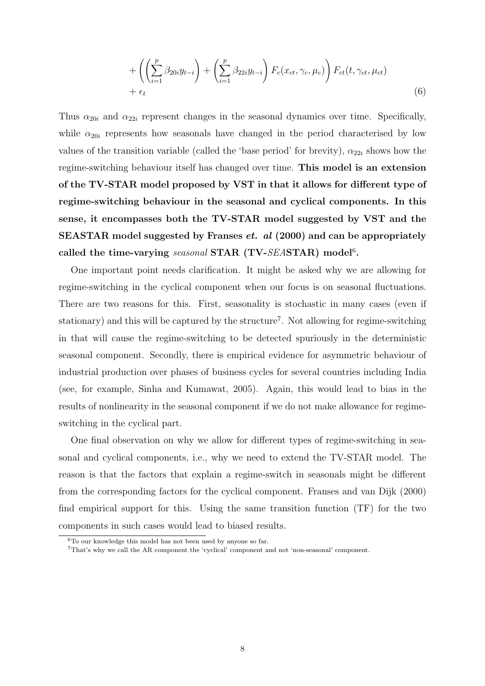$$
+\left(\left(\sum_{i=1}^p \beta_{20i} y_{t-i}\right) + \left(\sum_{i=1}^p \beta_{22i} y_{t-i}\right) F_c(x_{ct}, \gamma_c, \mu_c)\right) F_{ct}(t, \gamma_{ct}, \mu_{ct}) + \epsilon_t
$$
\n(6)

Thus  $\alpha_{20i}$  and  $\alpha_{22i}$  represent changes in the seasonal dynamics over time. Specifically, while  $\alpha_{20i}$  represents how seasonals have changed in the period characterised by low values of the transition variable (called the 'base period' for brevity),  $\alpha_{22i}$  shows how the regime-switching behaviour itself has changed over time. This model is an extension of the TV-STAR model proposed by VST in that it allows for different type of regime-switching behaviour in the seasonal and cyclical components. In this sense, it encompasses both the TV-STAR model suggested by VST and the SEASTAR model suggested by Franses et. al (2000) and can be appropriately called the time-varying seasonal STAR (TV-SEASTAR) model<sup>6</sup>.

One important point needs clarification. It might be asked why we are allowing for regime-switching in the cyclical component when our focus is on seasonal fluctuations. There are two reasons for this. First, seasonality is stochastic in many cases (even if stationary) and this will be captured by the structure<sup>7</sup>. Not allowing for regime-switching in that will cause the regime-switching to be detected spuriously in the deterministic seasonal component. Secondly, there is empirical evidence for asymmetric behaviour of industrial production over phases of business cycles for several countries including India (see, for example, Sinha and Kumawat, 2005). Again, this would lead to bias in the results of nonlinearity in the seasonal component if we do not make allowance for regimeswitching in the cyclical part.

One final observation on why we allow for different types of regime-switching in seasonal and cyclical components, i.e., why we need to extend the TV-STAR model. The reason is that the factors that explain a regime-switch in seasonals might be different from the corresponding factors for the cyclical component. Franses and van Dijk (2000) find empirical support for this. Using the same transition function (TF) for the two components in such cases would lead to biased results.

 $6T<sub>0</sub>$  our knowledge this model has not been used by anyone so far.

<sup>7</sup>That's why we call the AR component the 'cyclical' component and not 'non-seasonal' component.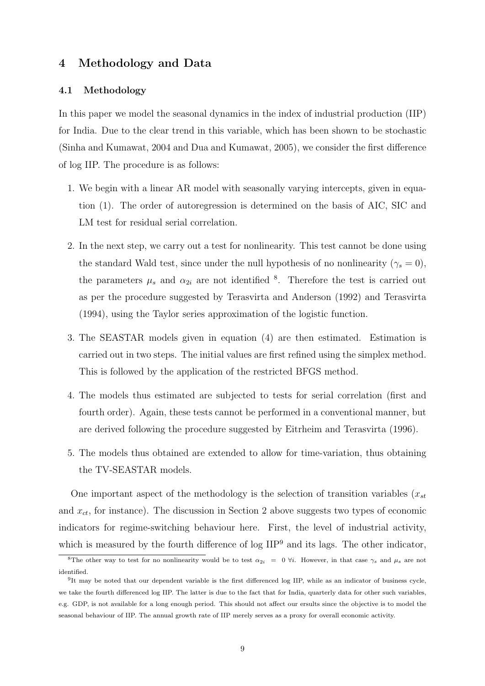## 4 Methodology and Data

## 4.1 Methodology

In this paper we model the seasonal dynamics in the index of industrial production (IIP) for India. Due to the clear trend in this variable, which has been shown to be stochastic (Sinha and Kumawat, 2004 and Dua and Kumawat, 2005), we consider the first difference of log IIP. The procedure is as follows:

- 1. We begin with a linear AR model with seasonally varying intercepts, given in equation (1). The order of autoregression is determined on the basis of AIC, SIC and LM test for residual serial correlation.
- 2. In the next step, we carry out a test for nonlinearity. This test cannot be done using the standard Wald test, since under the null hypothesis of no nonlinearity ( $\gamma_s = 0$ ), the parameters  $\mu_s$  and  $\alpha_{2i}$  are not identified <sup>8</sup>. Therefore the test is carried out as per the procedure suggested by Terasvirta and Anderson (1992) and Terasvirta (1994), using the Taylor series approximation of the logistic function.
- 3. The SEASTAR models given in equation (4) are then estimated. Estimation is carried out in two steps. The initial values are first refined using the simplex method. This is followed by the application of the restricted BFGS method.
- 4. The models thus estimated are subjected to tests for serial correlation (first and fourth order). Again, these tests cannot be performed in a conventional manner, but are derived following the procedure suggested by Eitrheim and Terasvirta (1996).
- 5. The models thus obtained are extended to allow for time-variation, thus obtaining the TV-SEASTAR models.

One important aspect of the methodology is the selection of transition variables  $(x_{st}$ and  $x_{ct}$ , for instance). The discussion in Section 2 above suggests two types of economic indicators for regime-switching behaviour here. First, the level of industrial activity, which is measured by the fourth difference of  $\log$  IIP<sup>9</sup> and its lags. The other indicator,

<sup>&</sup>lt;sup>8</sup>The other way to test for no nonlinearity would be to test  $\alpha_{2i} = 0 \forall i$ . However, in that case  $\gamma_s$  and  $\mu_s$  are not identified.

<sup>&</sup>lt;sup>9</sup>It may be noted that our dependent variable is the first differenced log IIP, while as an indicator of business cycle, we take the fourth differenced log IIP. The latter is due to the fact that for India, quarterly data for other such variables, e.g. GDP, is not available for a long enough period. This should not affect our ersults since the objective is to model the seasonal behaviour of IIP. The annual growth rate of IIP merely serves as a proxy for overall economic activity.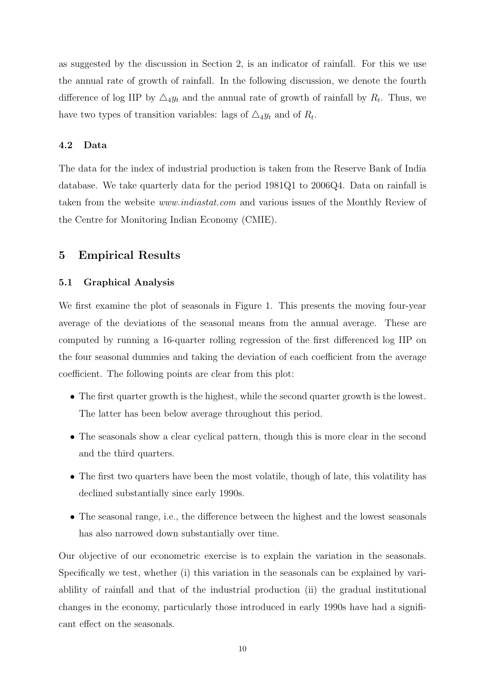as suggested by the discussion in Section 2, is an indicator of rainfall. For this we use the annual rate of growth of rainfall. In the following discussion, we denote the fourth difference of log IIP by  $\Delta_4 y_t$  and the annual rate of growth of rainfall by  $R_t$ . Thus, we have two types of transition variables: lags of  $\triangle_4 y_t$  and of  $R_t$ .

## 4.2 Data

The data for the index of industrial production is taken from the Reserve Bank of India database. We take quarterly data for the period 1981Q1 to 2006Q4. Data on rainfall is taken from the website www.indiastat.com and various issues of the Monthly Review of the Centre for Monitoring Indian Economy (CMIE).

## 5 Empirical Results

#### 5.1 Graphical Analysis

We first examine the plot of seasonals in Figure 1. This presents the moving four-year average of the deviations of the seasonal means from the annual average. These are computed by running a 16-quarter rolling regression of the first differenced log IIP on the four seasonal dummies and taking the deviation of each coefficient from the average coefficient. The following points are clear from this plot:

- The first quarter growth is the highest, while the second quarter growth is the lowest. The latter has been below average throughout this period.
- The seasonals show a clear cyclical pattern, though this is more clear in the second and the third quarters.
- The first two quarters have been the most volatile, though of late, this volatility has declined substantially since early 1990s.
- The seasonal range, i.e., the difference between the highest and the lowest seasonals has also narrowed down substantially over time.

Our objective of our econometric exercise is to explain the variation in the seasonals. Specifically we test, whether (i) this variation in the seasonals can be explained by variablility of rainfall and that of the industrial production (ii) the gradual institutional changes in the economy, particularly those introduced in early 1990s have had a significant effect on the seasonals.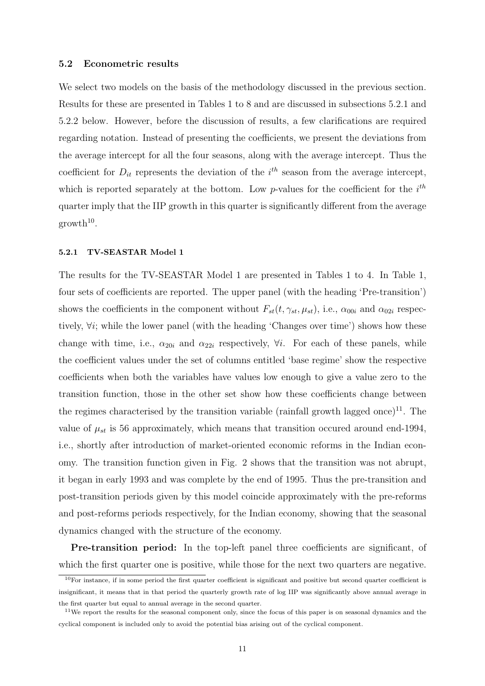#### 5.2 Econometric results

We select two models on the basis of the methodology discussed in the previous section. Results for these are presented in Tables 1 to 8 and are discussed in subsections 5.2.1 and 5.2.2 below. However, before the discussion of results, a few clarifications are required regarding notation. Instead of presenting the coefficients, we present the deviations from the average intercept for all the four seasons, along with the average intercept. Thus the coefficient for  $D_{it}$  represents the deviation of the  $i^{th}$  season from the average intercept, which is reported separately at the bottom. Low p-values for the coefficient for the  $i^{th}$ quarter imply that the IIP growth in this quarter is significantly different from the average  $growth<sup>10</sup>$ .

#### 5.2.1 TV-SEASTAR Model 1

The results for the TV-SEASTAR Model 1 are presented in Tables 1 to 4. In Table 1, four sets of coefficients are reported. The upper panel (with the heading 'Pre-transition') shows the coefficients in the component without  $F_{st}(t, \gamma_{st}, \mu_{st})$ , i.e.,  $\alpha_{00i}$  and  $\alpha_{02i}$  respectively,  $\forall i$ ; while the lower panel (with the heading 'Changes over time') shows how these change with time, i.e.,  $\alpha_{20i}$  and  $\alpha_{22i}$  respectively,  $\forall i$ . For each of these panels, while the coefficient values under the set of columns entitled 'base regime' show the respective coefficients when both the variables have values low enough to give a value zero to the transition function, those in the other set show how these coefficients change between the regimes characterised by the transition variable (rainfall growth lagged once)<sup>11</sup>. The value of  $\mu_{st}$  is 56 approximately, which means that transition occured around end-1994, i.e., shortly after introduction of market-oriented economic reforms in the Indian economy. The transition function given in Fig. 2 shows that the transition was not abrupt, it began in early 1993 and was complete by the end of 1995. Thus the pre-transition and post-transition periods given by this model coincide approximately with the pre-reforms and post-reforms periods respectively, for the Indian economy, showing that the seasonal dynamics changed with the structure of the economy.

Pre-transition period: In the top-left panel three coefficients are significant, of which the first quarter one is positive, while those for the next two quarters are negative.

 $10$ For instance, if in some period the first quarter coefficient is significant and positive but second quarter coefficient is insignificant, it means that in that period the quarterly growth rate of log IIP was significantly above annual average in the first quarter but equal to annual average in the second quarter.

<sup>&</sup>lt;sup>11</sup>We report the results for the seasonal component only, since the focus of this paper is on seasonal dynamics and the cyclical component is included only to avoid the potential bias arising out of the cyclical component.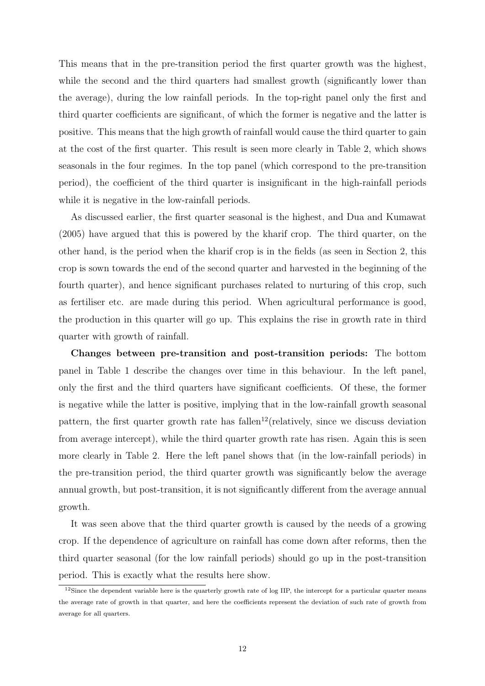This means that in the pre-transition period the first quarter growth was the highest, while the second and the third quarters had smallest growth (significantly lower than the average), during the low rainfall periods. In the top-right panel only the first and third quarter coefficients are significant, of which the former is negative and the latter is positive. This means that the high growth of rainfall would cause the third quarter to gain at the cost of the first quarter. This result is seen more clearly in Table 2, which shows seasonals in the four regimes. In the top panel (which correspond to the pre-transition period), the coefficient of the third quarter is insignificant in the high-rainfall periods while it is negative in the low-rainfall periods.

As discussed earlier, the first quarter seasonal is the highest, and Dua and Kumawat (2005) have argued that this is powered by the kharif crop. The third quarter, on the other hand, is the period when the kharif crop is in the fields (as seen in Section 2, this crop is sown towards the end of the second quarter and harvested in the beginning of the fourth quarter), and hence significant purchases related to nurturing of this crop, such as fertiliser etc. are made during this period. When agricultural performance is good, the production in this quarter will go up. This explains the rise in growth rate in third quarter with growth of rainfall.

Changes between pre-transition and post-transition periods: The bottom panel in Table 1 describe the changes over time in this behaviour. In the left panel, only the first and the third quarters have significant coefficients. Of these, the former is negative while the latter is positive, implying that in the low-rainfall growth seasonal pattern, the first quarter growth rate has fallen<sup>12</sup>(relatively, since we discuss deviation from average intercept), while the third quarter growth rate has risen. Again this is seen more clearly in Table 2. Here the left panel shows that (in the low-rainfall periods) in the pre-transition period, the third quarter growth was significantly below the average annual growth, but post-transition, it is not significantly different from the average annual growth.

It was seen above that the third quarter growth is caused by the needs of a growing crop. If the dependence of agriculture on rainfall has come down after reforms, then the third quarter seasonal (for the low rainfall periods) should go up in the post-transition period. This is exactly what the results here show.

 $12$ Since the dependent variable here is the quarterly growth rate of log IIP, the intercept for a particular quarter means the average rate of growth in that quarter, and here the coefficients represent the deviation of such rate of growth from average for all quarters.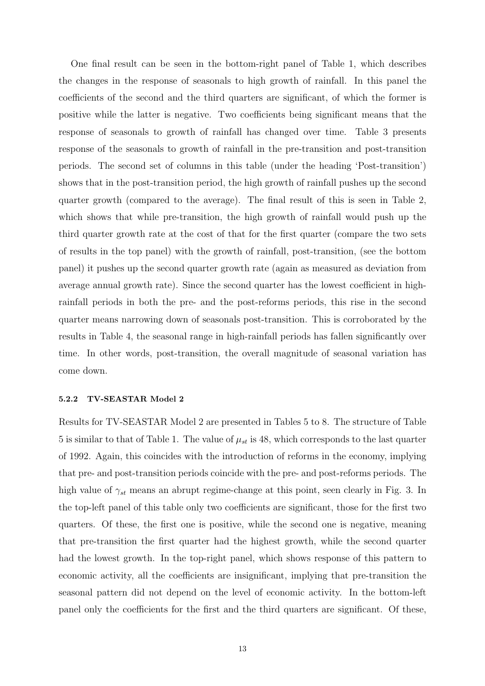One final result can be seen in the bottom-right panel of Table 1, which describes the changes in the response of seasonals to high growth of rainfall. In this panel the coefficients of the second and the third quarters are significant, of which the former is positive while the latter is negative. Two coefficients being significant means that the response of seasonals to growth of rainfall has changed over time. Table 3 presents response of the seasonals to growth of rainfall in the pre-transition and post-transition periods. The second set of columns in this table (under the heading 'Post-transition') shows that in the post-transition period, the high growth of rainfall pushes up the second quarter growth (compared to the average). The final result of this is seen in Table 2, which shows that while pre-transition, the high growth of rainfall would push up the third quarter growth rate at the cost of that for the first quarter (compare the two sets of results in the top panel) with the growth of rainfall, post-transition, (see the bottom panel) it pushes up the second quarter growth rate (again as measured as deviation from average annual growth rate). Since the second quarter has the lowest coefficient in highrainfall periods in both the pre- and the post-reforms periods, this rise in the second quarter means narrowing down of seasonals post-transition. This is corroborated by the results in Table 4, the seasonal range in high-rainfall periods has fallen significantly over time. In other words, post-transition, the overall magnitude of seasonal variation has come down.

#### 5.2.2 TV-SEASTAR Model 2

Results for TV-SEASTAR Model 2 are presented in Tables 5 to 8. The structure of Table 5 is similar to that of Table 1. The value of  $\mu_{st}$  is 48, which corresponds to the last quarter of 1992. Again, this coincides with the introduction of reforms in the economy, implying that pre- and post-transition periods coincide with the pre- and post-reforms periods. The high value of  $\gamma_{st}$  means an abrupt regime-change at this point, seen clearly in Fig. 3. In the top-left panel of this table only two coefficients are significant, those for the first two quarters. Of these, the first one is positive, while the second one is negative, meaning that pre-transition the first quarter had the highest growth, while the second quarter had the lowest growth. In the top-right panel, which shows response of this pattern to economic activity, all the coefficients are insignificant, implying that pre-transition the seasonal pattern did not depend on the level of economic activity. In the bottom-left panel only the coefficients for the first and the third quarters are significant. Of these,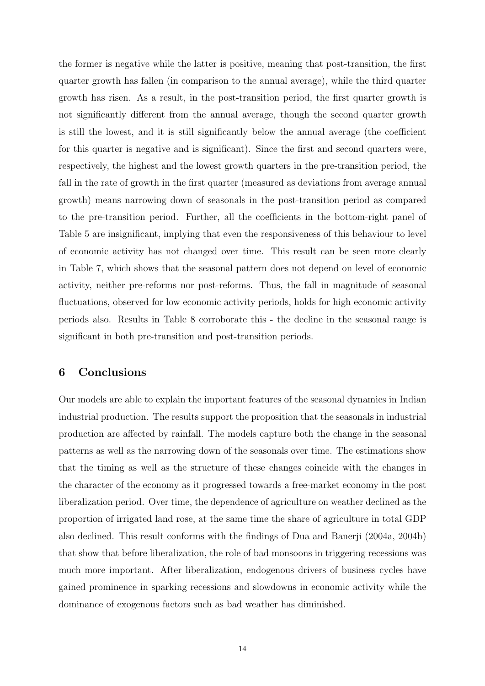the former is negative while the latter is positive, meaning that post-transition, the first quarter growth has fallen (in comparison to the annual average), while the third quarter growth has risen. As a result, in the post-transition period, the first quarter growth is not significantly different from the annual average, though the second quarter growth is still the lowest, and it is still significantly below the annual average (the coefficient for this quarter is negative and is significant). Since the first and second quarters were, respectively, the highest and the lowest growth quarters in the pre-transition period, the fall in the rate of growth in the first quarter (measured as deviations from average annual growth) means narrowing down of seasonals in the post-transition period as compared to the pre-transition period. Further, all the coefficients in the bottom-right panel of Table 5 are insignificant, implying that even the responsiveness of this behaviour to level of economic activity has not changed over time. This result can be seen more clearly in Table 7, which shows that the seasonal pattern does not depend on level of economic activity, neither pre-reforms nor post-reforms. Thus, the fall in magnitude of seasonal fluctuations, observed for low economic activity periods, holds for high economic activity periods also. Results in Table 8 corroborate this - the decline in the seasonal range is significant in both pre-transition and post-transition periods.

## 6 Conclusions

Our models are able to explain the important features of the seasonal dynamics in Indian industrial production. The results support the proposition that the seasonals in industrial production are affected by rainfall. The models capture both the change in the seasonal patterns as well as the narrowing down of the seasonals over time. The estimations show that the timing as well as the structure of these changes coincide with the changes in the character of the economy as it progressed towards a free-market economy in the post liberalization period. Over time, the dependence of agriculture on weather declined as the proportion of irrigated land rose, at the same time the share of agriculture in total GDP also declined. This result conforms with the findings of Dua and Banerji (2004a, 2004b) that show that before liberalization, the role of bad monsoons in triggering recessions was much more important. After liberalization, endogenous drivers of business cycles have gained prominence in sparking recessions and slowdowns in economic activity while the dominance of exogenous factors such as bad weather has diminished.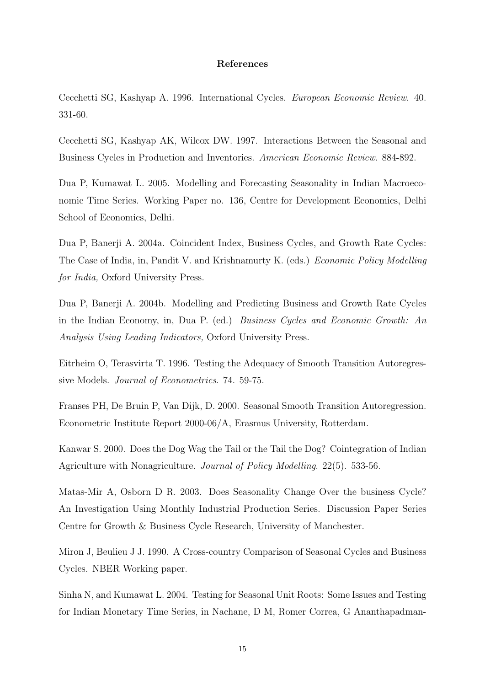## References

Cecchetti SG, Kashyap A. 1996. International Cycles. European Economic Review. 40. 331-60.

Cecchetti SG, Kashyap AK, Wilcox DW. 1997. Interactions Between the Seasonal and Business Cycles in Production and Inventories. American Economic Review. 884-892.

Dua P, Kumawat L. 2005. Modelling and Forecasting Seasonality in Indian Macroeconomic Time Series. Working Paper no. 136, Centre for Development Economics, Delhi School of Economics, Delhi.

Dua P, Banerji A. 2004a. Coincident Index, Business Cycles, and Growth Rate Cycles: The Case of India, in, Pandit V. and Krishnamurty K. (eds.) Economic Policy Modelling for India, Oxford University Press.

Dua P, Banerji A. 2004b. Modelling and Predicting Business and Growth Rate Cycles in the Indian Economy, in, Dua P. (ed.) Business Cycles and Economic Growth: An Analysis Using Leading Indicators, Oxford University Press.

Eitrheim O, Terasvirta T. 1996. Testing the Adequacy of Smooth Transition Autoregressive Models. Journal of Econometrics. 74. 59-75.

Franses PH, De Bruin P, Van Dijk, D. 2000. Seasonal Smooth Transition Autoregression. Econometric Institute Report 2000-06/A, Erasmus University, Rotterdam.

Kanwar S. 2000. Does the Dog Wag the Tail or the Tail the Dog? Cointegration of Indian Agriculture with Nonagriculture. Journal of Policy Modelling. 22(5). 533-56.

Matas-Mir A, Osborn D R. 2003. Does Seasonality Change Over the business Cycle? An Investigation Using Monthly Industrial Production Series. Discussion Paper Series Centre for Growth & Business Cycle Research, University of Manchester.

Miron J, Beulieu J J. 1990. A Cross-country Comparison of Seasonal Cycles and Business Cycles. NBER Working paper.

Sinha N, and Kumawat L. 2004. Testing for Seasonal Unit Roots: Some Issues and Testing for Indian Monetary Time Series, in Nachane, D M, Romer Correa, G Ananthapadman-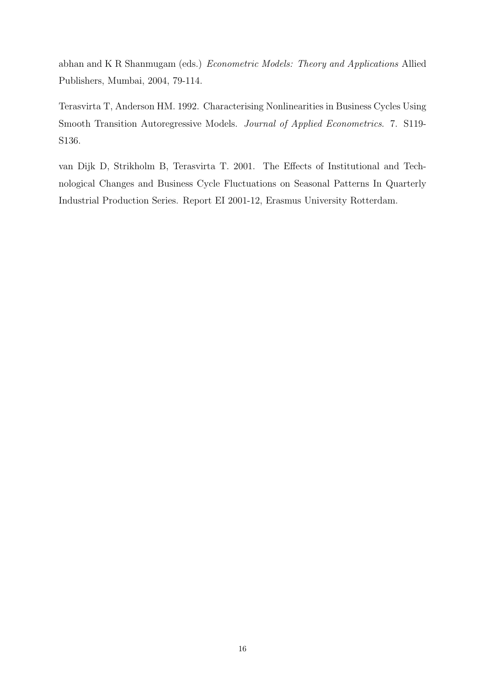abhan and K R Shanmugam (eds.) Econometric Models: Theory and Applications Allied Publishers, Mumbai, 2004, 79-114.

Terasvirta T, Anderson HM. 1992. Characterising Nonlinearities in Business Cycles Using Smooth Transition Autoregressive Models. Journal of Applied Econometrics. 7. S119- S136.

van Dijk D, Strikholm B, Terasvirta T. 2001. The Effects of Institutional and Technological Changes and Business Cycle Fluctuations on Seasonal Patterns In Quarterly Industrial Production Series. Report EI 2001-12, Erasmus University Rotterdam.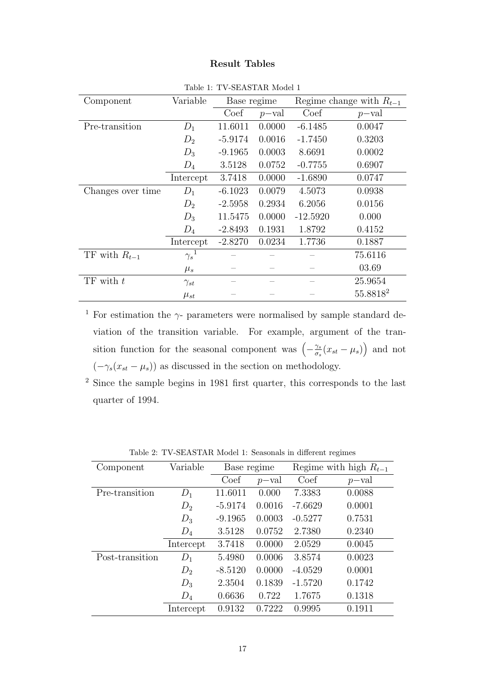## Result Tables

| Component         | Variable               | Base regime |          | Regime change with $R_{t-1}$ |          |
|-------------------|------------------------|-------------|----------|------------------------------|----------|
|                   |                        | Coef        | $p$ -val | Coef                         | $p$ -val |
| Pre-transition    | $D_1$                  | 11.6011     | 0.0000   | $-6.1485$                    | 0.0047   |
|                   | $D_2$                  | $-5.9174$   | 0.0016   | $-1.7450$                    | 0.3203   |
|                   | $D_3$                  | $-9.1965$   | 0.0003   | 8.6691                       | 0.0002   |
|                   | $D_4$                  | 3.5128      | 0.0752   | $-0.7755$                    | 0.6907   |
|                   | Intercept              | 3.7418      | 0.0000   | $-1.6890$                    | 0.0747   |
| Changes over time | $D_1$                  | $-6.1023$   | 0.0079   | 4.5073                       | 0.0938   |
|                   | $D_2$                  | $-2.5958$   | 0.2934   | 6.2056                       | 0.0156   |
|                   | $D_3$                  | 11.5475     | 0.0000   | $-12.5920$                   | 0.000    |
|                   | $D_4$                  | $-2.8493$   | 0.1931   | 1.8792                       | 0.4152   |
|                   | Intercept              | $-2.8270$   | 0.0234   | 1.7736                       | 0.1887   |
| TF with $R_{t-1}$ | $\gamma_s{}^{\bar{1}}$ |             |          |                              | 75.6116  |
|                   | $\mu_s$                |             |          |                              | 03.69    |
| $TF$ with $t$     | $\gamma_{st}$          |             |          |                              | 25.9654  |
|                   | $\mu_{st}$             |             |          |                              | 55.88182 |

Table 1: TV-SEASTAR Model 1

<sup>1</sup> For estimation the  $\gamma$ - parameters were normalised by sample standard deviation of the transition variable. For example, argument of the transition function for the seasonal component was  $\left(-\frac{\gamma s}{\sigma}\right)$  $\frac{\gamma_s}{\sigma_s}(x_{st}-\mu_s)\right)$  and not  $(-\gamma_s(x_{st} - \mu_s))$  as discussed in the section on methodology.

<sup>2</sup> Since the sample begins in 1981 first quarter, this corresponds to the last quarter of 1994.

| Component       | Variable  | Base regime |          |           | Regime with high $R_{t-1}$ |
|-----------------|-----------|-------------|----------|-----------|----------------------------|
|                 |           | Coef        | $p$ -val | Coef      | $p$ -val                   |
| Pre-transition  | $D_1$     | 11.6011     | 0.000    | 7.3383    | 0.0088                     |
|                 | $D_2$     | $-5.9174$   | 0.0016   | $-7.6629$ | 0.0001                     |
|                 | $D_3$     | $-9.1965$   | 0.0003   | $-0.5277$ | 0.7531                     |
|                 | $D_4$     | 3.5128      | 0.0752   | 2.7380    | 0.2340                     |
|                 | Intercept | 3.7418      | 0.0000   | 2.0529    | 0.0045                     |
| Post-transition | $D_1$     | 5.4980      | 0.0006   | 3.8574    | 0.0023                     |
|                 | $D_2$     | $-8.5120$   | 0.0000   | $-4.0529$ | 0.0001                     |
|                 | $D_3$     | 2.3504      | 0.1839   | $-1.5720$ | 0.1742                     |
|                 | $D_4$     | 0.6636      | 0.722    | 1.7675    | 0.1318                     |
|                 | Intercept | 0.9132      | 0.7222   | 0.9995    | 0.1911                     |

Table 2: TV-SEASTAR Model 1: Seasonals in different regimes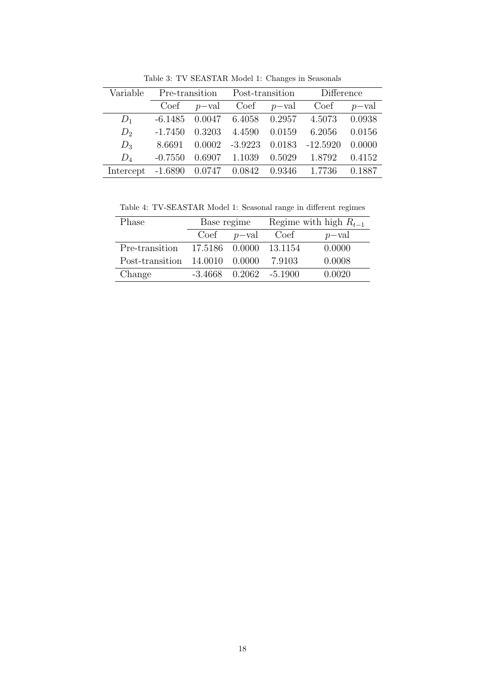| Variable                                      |           |                   |                                       |        | Pre-transition Post-transition Difference |                |
|-----------------------------------------------|-----------|-------------------|---------------------------------------|--------|-------------------------------------------|----------------|
|                                               |           | $Coef \t p-value$ | $Coef$ $p$ -val                       |        | Coef                                      | $p-\text{val}$ |
| $D_1$                                         |           |                   | $-6.1485$ 0.0047 6.4058 0.2957 4.5073 |        |                                           | 0.0938         |
| $D_2$                                         | $-1.7450$ | 0.3203 4.4590     |                                       | 0.0159 | 6.2056                                    | 0.0156         |
| $D_3$                                         | 8.6691    |                   | $0.0002$ $-3.9223$ $0.0183$           |        | $-12.5920$                                | 0.0000         |
| $D_4$                                         | $-0.7550$ | 0.6907 1.1039     |                                       |        | 0.5029 1.8792                             | 0.4152         |
| Intercept -1.6890 0.0747 0.0842 0.9346 1.7736 |           |                   |                                       |        |                                           | 0.1887         |

Table 3: TV SEASTAR Model 1: Changes in Seasonals

Table 4: TV-SEASTAR Model 1: Seasonal range in different regimes

| Phase                              | Base regime                |  | Regime with high $R_{t-1}$ |          |
|------------------------------------|----------------------------|--|----------------------------|----------|
|                                    | $Coef \t p-value$          |  | Coef                       | $p$ -val |
| Pre-transition                     | 17.5186 0.0000 13.1154     |  |                            | 0.0000   |
| Post-transition $14.0010$ $0.0000$ |                            |  | 7.9103                     | 0.0008   |
| Change                             | $-3,4668$ 0.2062 $-5,1900$ |  |                            | 0.0020   |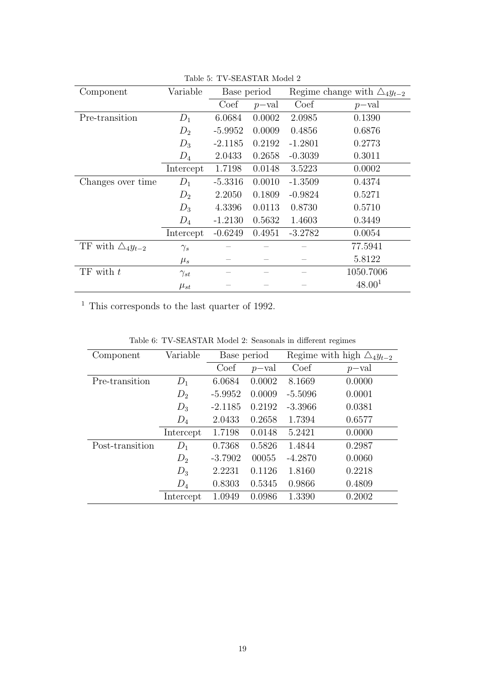| Component                     | Variable      | Base period |                |           | Regime change with $\triangle_4 y_{t-2}$ |  |  |
|-------------------------------|---------------|-------------|----------------|-----------|------------------------------------------|--|--|
|                               |               | Coef        | $p-\text{val}$ | Coef      | $p-\text{val}$                           |  |  |
| Pre-transition                | $D_1$         | 6.0684      | 0.0002         | 2.0985    | 0.1390                                   |  |  |
|                               | $D_2$         | $-5.9952$   | 0.0009         | 0.4856    | 0.6876                                   |  |  |
|                               | $D_3$         | $-2.1185$   | 0.2192         | $-1.2801$ | 0.2773                                   |  |  |
|                               | $D_4$         | 2.0433      | 0.2658         | $-0.3039$ | 0.3011                                   |  |  |
|                               | Intercept     | 1.7198      | 0.0148         | 3.5223    | 0.0002                                   |  |  |
| Changes over time             | $D_1$         | $-5.3316$   | 0.0010         | $-1.3509$ | 0.4374                                   |  |  |
|                               | $D_2$         | 2.2050      | 0.1809         | $-0.9824$ | 0.5271                                   |  |  |
|                               | $D_3$         | 4.3396      | 0.0113         | 0.8730    | 0.5710                                   |  |  |
|                               | $D_4$         | $-1.2130$   | 0.5632         | 1.4603    | 0.3449                                   |  |  |
|                               | Intercept     | $-0.6249$   | 0.4951         | $-3.2782$ | 0.0054                                   |  |  |
| TF with $\triangle_4 y_{t-2}$ | $\gamma_s$    |             |                |           | 77.5941                                  |  |  |
|                               | $\mu_s$       |             |                |           | 5.8122                                   |  |  |
| $TF$ with $t$                 | $\gamma_{st}$ |             |                |           | 1050.7006                                |  |  |
|                               | $\mu_{st}$    |             |                |           | 48.00 <sup>1</sup>                       |  |  |

Table 5: TV-SEASTAR Model 2

 $^{\rm 1}$  This corresponds to the last quarter of 1992.

| Component       | Variable  | Base period |          | Regime with high $\triangle_4 y_{t-2}$ |          |
|-----------------|-----------|-------------|----------|----------------------------------------|----------|
|                 |           | Coef        | $p$ -val | Coef                                   | $p$ -val |
| Pre-transition  | $D_1$     | 6.0684      | 0.0002   | 8.1669                                 | 0.0000   |
|                 | $D_2$     | $-5.9952$   | 0.0009   | $-5.5096$                              | 0.0001   |
|                 | $D_3$     | $-2.1185$   | 0.2192   | $-3.3966$                              | 0.0381   |
|                 | $D_4$     | 2.0433      | 0.2658   | 1.7394                                 | 0.6577   |
|                 | Intercept | 1.7198      | 0.0148   | 5.2421                                 | 0.0000   |
| Post-transition | $D_1$     | 0.7368      | 0.5826   | 1.4844                                 | 0.2987   |
|                 | $D_2$     | $-3.7902$   | 00055    | $-4.2870$                              | 0.0060   |
|                 | $D_3$     | 2.2231      | 0.1126   | 1.8160                                 | 0.2218   |
|                 | $D_4$     | 0.8303      | 0.5345   | 0.9866                                 | 0.4809   |
|                 | Intercept | 1.0949      | 0.0986   | 1.3390                                 | 0.2002   |

Table 6: TV-SEASTAR Model 2: Seasonals in different regimes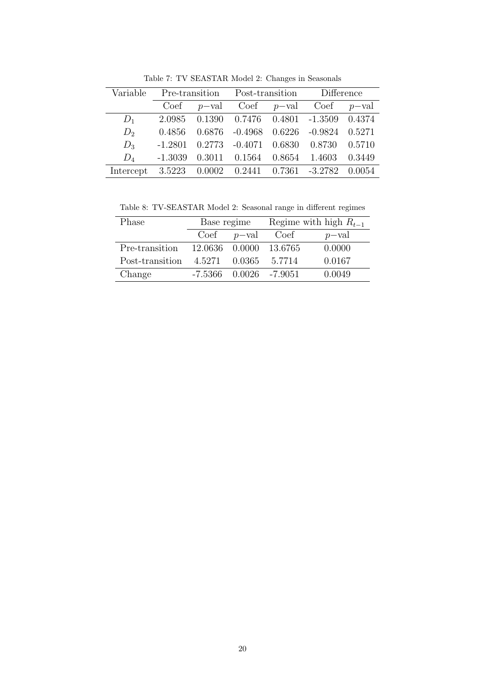| Variable                                             | Pre-transition Post-transition Difference |  |  |                                                         |  |
|------------------------------------------------------|-------------------------------------------|--|--|---------------------------------------------------------|--|
|                                                      |                                           |  |  | Coef $p$ -val Coef $p$ -val Coef $p$ -val               |  |
| $D_1$                                                |                                           |  |  | 2.0985 0.1390 0.7476 0.4801 -1.3509 0.4374              |  |
| $D_2$                                                |                                           |  |  | 0.4856 0.6876 -0.4968 0.6226 -0.9824 0.5271             |  |
| $D_3$                                                |                                           |  |  | $-1.2801$ $0.2773$ $-0.4071$ $0.6830$ $0.8730$ $0.5710$ |  |
| $D_4$                                                |                                           |  |  | $-1.3039$ $0.3011$ $0.1564$ $0.8654$ $1.4603$ $0.3449$  |  |
| Intercept 3.5223 0.0002 0.2441 0.7361 -3.2782 0.0054 |                                           |  |  |                                                         |  |

Table 7: TV SEASTAR Model 2: Changes in Seasonals

Table 8: TV-SEASTAR Model 2: Seasonal range in different regimes

| Phase           | Base regime      |        | Regime with high $R_{t-1}$ |          |
|-----------------|------------------|--------|----------------------------|----------|
|                 | $Coef$ $p-value$ |        | Coef                       | $p$ -val |
| Pre-transition  | 12.0636 0.0000   |        | -13.6765                   | 0.0000   |
| Post-transition | 4.5271           | 0.0365 | 5.7714                     | 0.0167   |
| Change          | -7.5366          |        | $0.0026 -7.9051$           | 0.0049   |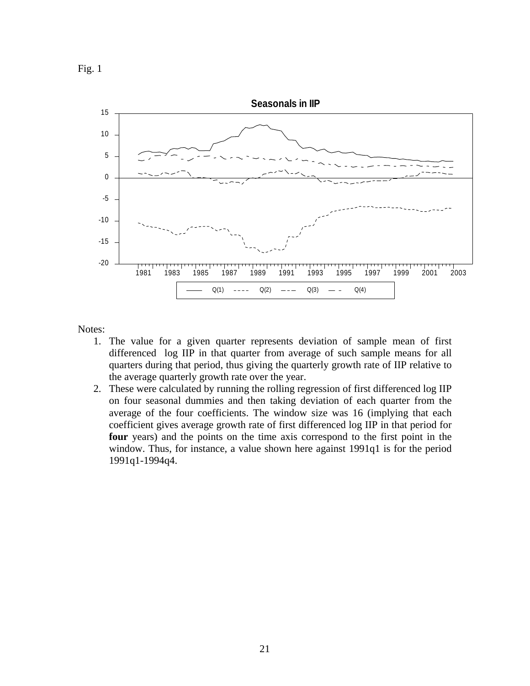



Notes:

- 1. The value for a given quarter represents deviation of sample mean of first differenced log IIP in that quarter from average of such sample means for all quarters during that period, thus giving the quarterly growth rate of IIP relative to the average quarterly growth rate over the year.
- 2. These were calculated by running the rolling regression of first differenced log IIP on four seasonal dummies and then taking deviation of each quarter from the average of the four coefficients. The window size was 16 (implying that each coefficient gives average growth rate of first differenced log IIP in that period for **four** years) and the points on the time axis correspond to the first point in the window. Thus, for instance, a value shown here against 1991q1 is for the period 1991q1-1994q4.